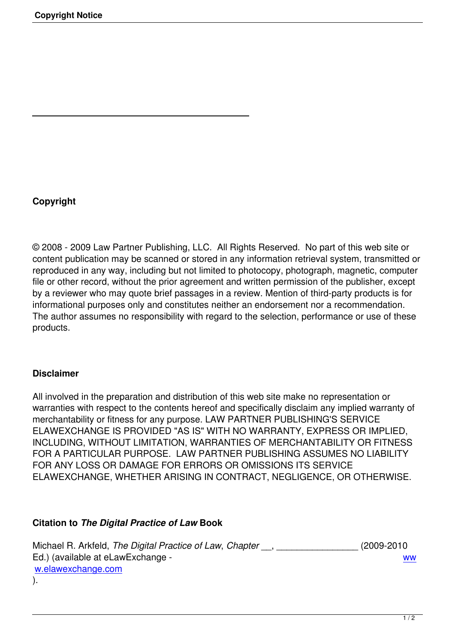# **Copyright**

© 2008 - 2009 Law Partner Publishing, LLC. All Rights Reserved. No part of this web site or content publication may be scanned or stored in any information retrieval system, transmitted or reproduced in any way, including but not limited to photocopy, photograph, magnetic, computer file or other record, without the prior agreement and written permission of the publisher, except by a reviewer who may quote brief passages in a review. Mention of third-party products is for informational purposes only and constitutes neither an endorsement nor a recommendation. The author assumes no responsibility with regard to the selection, performance or use of these products.

### **Disclaimer**

All involved in the preparation and distribution of this web site make no representation or warranties with respect to the contents hereof and specifically disclaim any implied warranty of merchantability or fitness for any purpose. LAW PARTNER PUBLISHING'S SERVICE ELAWEXCHANGE IS PROVIDED "AS IS" WITH NO WARRANTY, EXPRESS OR IMPLIED, INCLUDING, WITHOUT LIMITATION, WARRANTIES OF MERCHANTABILITY OR FITNESS FOR A PARTICULAR PURPOSE. LAW PARTNER PUBLISHING ASSUMES NO LIABILITY FOR ANY LOSS OR DAMAGE FOR ERRORS OR OMISSIONS ITS SERVICE ELAWEXCHANGE, WHETHER ARISING IN CONTRACT, NEGLIGENCE, OR OTHERWISE.

### **Citation to** *The Digital Practice of Law* **Book**

Michael R. Arkfeld, *The Digital Practice of Law*, *Chapter* \_\_, \_\_\_\_\_\_\_\_\_\_\_\_\_\_\_\_ (2009-2010 Ed.) (available at eLawExchange - ww w.elawexchange.com ).